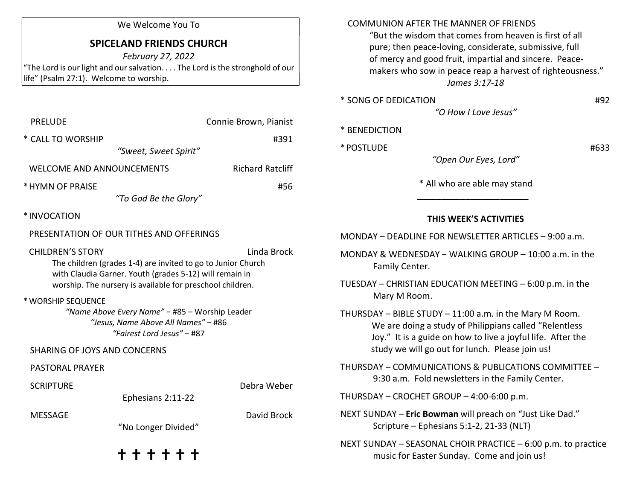### We Welcome You To

# SPICELAND FRIENDS CHURCH

February 27, 2022 "The Lord is our light and our salvation. . . . The Lord is the stronghold of our life" (Psalm 27:1). Welcome to worship.

| <b>PRELUDE</b>                                                                                                                                                                                                                 | Connie Brown, Pianist                                                                                               |                         |  |  |  |
|--------------------------------------------------------------------------------------------------------------------------------------------------------------------------------------------------------------------------------|---------------------------------------------------------------------------------------------------------------------|-------------------------|--|--|--|
| * CALL TO WORSHIP                                                                                                                                                                                                              | "Sweet, Sweet Spirit"                                                                                               | #391                    |  |  |  |
| <b>WELCOME AND ANNOUNCEMENTS</b>                                                                                                                                                                                               |                                                                                                                     | <b>Richard Ratcliff</b> |  |  |  |
| * HYMN OF PRAISE                                                                                                                                                                                                               | "To God Be the Glory"                                                                                               | #56                     |  |  |  |
| *INVOCATION                                                                                                                                                                                                                    |                                                                                                                     |                         |  |  |  |
|                                                                                                                                                                                                                                | PRESENTATION OF OUR TITHES AND OFFERINGS                                                                            |                         |  |  |  |
| <b>CHILDREN'S STORY</b><br>Linda Brock<br>The children (grades 1-4) are invited to go to Junior Church<br>with Claudia Garner. Youth (grades 5-12) will remain in<br>worship. The nursery is available for preschool children. |                                                                                                                     |                         |  |  |  |
| * WORSHIP SEQUENCE                                                                                                                                                                                                             | "Name Above Every Name" - #85 - Worship Leader<br>"Jesus, Name Above All Names" - #86<br>"Fairest Lord Jesus" - #87 |                         |  |  |  |
| <b>SHARING OF JOYS AND CONCERNS</b>                                                                                                                                                                                            |                                                                                                                     |                         |  |  |  |
| <b>PASTORAL PRAYER</b>                                                                                                                                                                                                         |                                                                                                                     |                         |  |  |  |
| <b>SCRIPTURE</b>                                                                                                                                                                                                               | Ephesians 2:11-22                                                                                                   | Debra Weber             |  |  |  |
| <b>MESSAGE</b>                                                                                                                                                                                                                 | "No Longer Divided"                                                                                                 | David Brock             |  |  |  |
|                                                                                                                                                                                                                                | + + + + + +                                                                                                         |                         |  |  |  |

#### COMMUNION AFTER THE MANNER OF FRIENDS

 "But the wisdom that comes from heaven is first of all pure; then peace-loving, considerate, submissive, full of mercy and good fruit, impartial and sincere. Peace makers who sow in peace reap a harvest of righteousness." James 3:17-18

| * SONG OF DEDICATION | #92 |
|----------------------|-----|
| "O How I Love Jesus" |     |

|  |  |  |  | * BENEDICTION |
|--|--|--|--|---------------|
|--|--|--|--|---------------|

| * POSTLUDE | #633 |
|------------|------|
|------------|------|

"Open Our Eyes, Lord"

\* All who are able may stand

#### THIS WEEK'S ACTIVITIES

MONDAY – DEADLINE FOR NEWSLETTER ARTICLES – 9:00 a.m.

 $\frac{1}{\sqrt{2}}$  ,  $\frac{1}{\sqrt{2}}$  ,  $\frac{1}{\sqrt{2}}$  ,  $\frac{1}{\sqrt{2}}$  ,  $\frac{1}{\sqrt{2}}$  ,  $\frac{1}{\sqrt{2}}$  ,  $\frac{1}{\sqrt{2}}$  ,  $\frac{1}{\sqrt{2}}$  ,  $\frac{1}{\sqrt{2}}$  ,  $\frac{1}{\sqrt{2}}$  ,  $\frac{1}{\sqrt{2}}$  ,  $\frac{1}{\sqrt{2}}$  ,  $\frac{1}{\sqrt{2}}$  ,  $\frac{1}{\sqrt{2}}$  ,  $\frac{1}{\sqrt{2}}$ 

- MONDAY & WEDNESDAY − WALKING GROUP 10:00 a.m. in the Family Center.
- TUESDAY CHRISTIAN EDUCATION MEETING 6:00 p.m. in the Mary M Room.

THURSDAY – BIBLE STUDY – 11:00 a.m. in the Mary M Room. We are doing a study of Philippians called "Relentless Joy." It is a guide on how to live a joyful life. After the study we will go out for lunch. Please join us!

THURSDAY – COMMUNICATIONS & PUBLICATIONS COMMITTEE – 9:30 a.m. Fold newsletters in the Family Center.

THURSDAY – CROCHET GROUP – 4:00-6:00 p.m.

NEXT SUNDAY – Eric Bowman will preach on "Just Like Dad." Scripture – Ephesians 5:1-2, 21-33 (NLT)

NEXT SUNDAY – SEASONAL CHOIR PRACTICE – 6:00 p.m. to practice music for Easter Sunday. Come and join us!